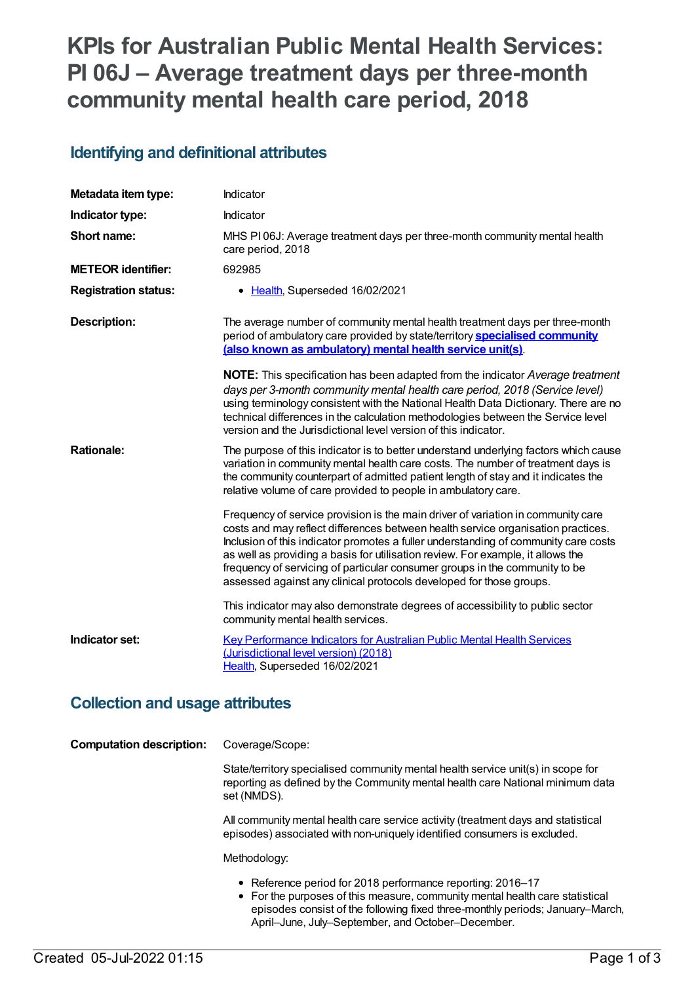# **KPIs for Australian Public Mental Health Services: PI 06J – Average treatment days per three-month community mental health care period, 2018**

### **Identifying and definitional attributes**

| Metadata item type:         | Indicator                                                                                                                                                                                                                                                                                                                                                                                                                                                                                            |
|-----------------------------|------------------------------------------------------------------------------------------------------------------------------------------------------------------------------------------------------------------------------------------------------------------------------------------------------------------------------------------------------------------------------------------------------------------------------------------------------------------------------------------------------|
| Indicator type:             | Indicator                                                                                                                                                                                                                                                                                                                                                                                                                                                                                            |
| Short name:                 | MHS PI06J: Average treatment days per three-month community mental health<br>care period, 2018                                                                                                                                                                                                                                                                                                                                                                                                       |
| <b>METEOR identifier:</b>   | 692985                                                                                                                                                                                                                                                                                                                                                                                                                                                                                               |
| <b>Registration status:</b> | • Health, Superseded 16/02/2021                                                                                                                                                                                                                                                                                                                                                                                                                                                                      |
| Description:                | The average number of community mental health treatment days per three-month<br>period of ambulatory care provided by state/territory <b>specialised community</b><br>(also known as ambulatory) mental health service unit(s).                                                                                                                                                                                                                                                                      |
|                             | NOTE: This specification has been adapted from the indicator Average treatment<br>days per 3-month community mental health care period, 2018 (Service level)<br>using terminology consistent with the National Health Data Dictionary. There are no<br>technical differences in the calculation methodologies between the Service level<br>version and the Jurisdictional level version of this indicator.                                                                                           |
| <b>Rationale:</b>           | The purpose of this indicator is to better understand underlying factors which cause<br>variation in community mental health care costs. The number of treatment days is<br>the community counterpart of admitted patient length of stay and it indicates the<br>relative volume of care provided to people in ambulatory care.                                                                                                                                                                      |
|                             | Frequency of service provision is the main driver of variation in community care<br>costs and may reflect differences between health service organisation practices.<br>Inclusion of this indicator promotes a fuller understanding of community care costs<br>as well as providing a basis for utilisation review. For example, it allows the<br>frequency of servicing of particular consumer groups in the community to be<br>assessed against any clinical protocols developed for those groups. |
|                             | This indicator may also demonstrate degrees of accessibility to public sector<br>community mental health services.                                                                                                                                                                                                                                                                                                                                                                                   |
| Indicator set:              | Key Performance Indicators for Australian Public Mental Health Services<br>(Jurisdictional level version) (2018)<br>Health, Superseded 16/02/2021                                                                                                                                                                                                                                                                                                                                                    |

### **Collection and usage attributes**

| <b>Computation description:</b> | Coverage/Scope:                                                                                                                                                                                                             |
|---------------------------------|-----------------------------------------------------------------------------------------------------------------------------------------------------------------------------------------------------------------------------|
|                                 | State/territory specialised community mental health service unit(s) in scope for<br>reporting as defined by the Community mental health care National minimum data<br>set (NMDS).                                           |
|                                 | All community mental health care service activity (treatment days and statistical<br>episodes) associated with non-uniquely identified consumers is excluded.                                                               |
|                                 | Methodology:                                                                                                                                                                                                                |
|                                 | • Reference period for 2018 performance reporting: 2016-17<br>• For the purposes of this measure, community mental health care statistical<br>episodes consist of the following fixed three-monthly periods; January–March, |

April–June, July–September, and October–December.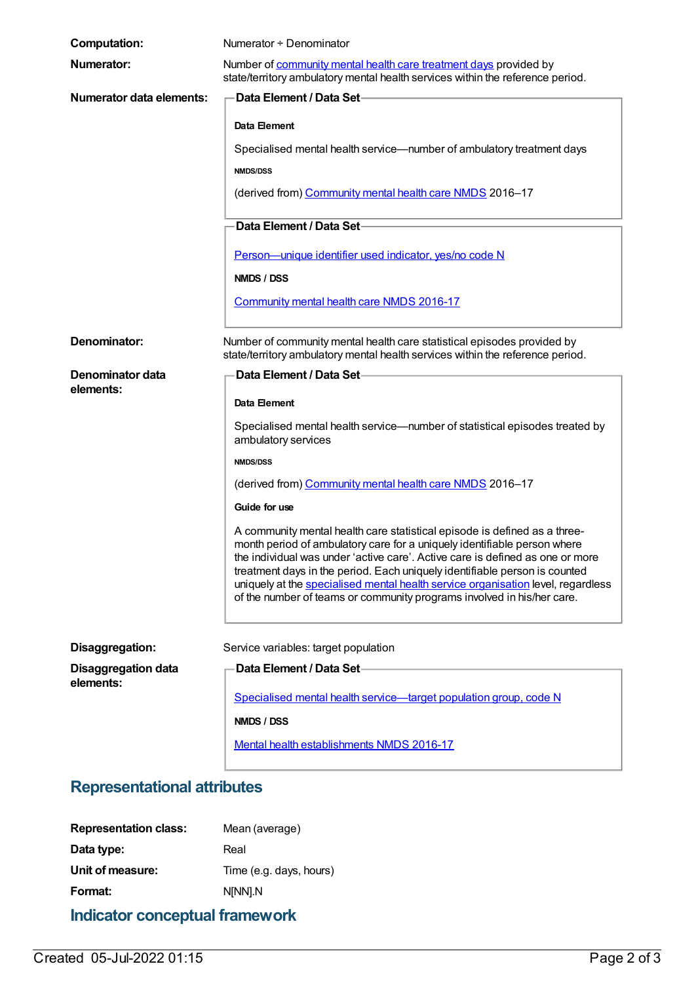| <b>Computation:</b>                                        | Numerator + Denominator                                                                                                                                                                                                                                                                                                                                                                                  |
|------------------------------------------------------------|----------------------------------------------------------------------------------------------------------------------------------------------------------------------------------------------------------------------------------------------------------------------------------------------------------------------------------------------------------------------------------------------------------|
| <b>Numerator:</b>                                          | Number of community mental health care treatment days provided by<br>state/territory ambulatory mental health services within the reference period.                                                                                                                                                                                                                                                      |
| <b>Numerator data elements:</b>                            | <b>Data Element / Data Set-</b>                                                                                                                                                                                                                                                                                                                                                                          |
|                                                            | Data Element                                                                                                                                                                                                                                                                                                                                                                                             |
|                                                            | Specialised mental health service—number of ambulatory treatment days                                                                                                                                                                                                                                                                                                                                    |
|                                                            | <b>NMDS/DSS</b>                                                                                                                                                                                                                                                                                                                                                                                          |
|                                                            | (derived from) Community mental health care NMDS 2016-17                                                                                                                                                                                                                                                                                                                                                 |
|                                                            | Data Element / Data Set-                                                                                                                                                                                                                                                                                                                                                                                 |
|                                                            | Person-unique identifier used indicator, yes/no code N                                                                                                                                                                                                                                                                                                                                                   |
|                                                            | NMDS / DSS                                                                                                                                                                                                                                                                                                                                                                                               |
|                                                            | Community mental health care NMDS 2016-17                                                                                                                                                                                                                                                                                                                                                                |
| Denominator:                                               | Number of community mental health care statistical episodes provided by<br>state/territory ambulatory mental health services within the reference period.                                                                                                                                                                                                                                                |
| Denominator data<br>elements:                              | Data Element / Data Set-                                                                                                                                                                                                                                                                                                                                                                                 |
|                                                            | Data Element                                                                                                                                                                                                                                                                                                                                                                                             |
|                                                            | Specialised mental health service—number of statistical episodes treated by<br>ambulatory services                                                                                                                                                                                                                                                                                                       |
|                                                            | <b>NMDS/DSS</b>                                                                                                                                                                                                                                                                                                                                                                                          |
|                                                            | (derived from) Community mental health care NMDS 2016-17                                                                                                                                                                                                                                                                                                                                                 |
|                                                            | Guide for use                                                                                                                                                                                                                                                                                                                                                                                            |
|                                                            | A community mental health care statistical episode is defined as a three-<br>month period of ambulatory care for a uniquely identifiable person where<br>the individual was under 'active care'. Active care is defined as one or more<br>treatment days in the period. Each uniquely identifiable person is counted<br>uniquely at the specialised mental health service organisation level, regardless |
|                                                            | of the number of teams or community programs involved in his/her care.                                                                                                                                                                                                                                                                                                                                   |
|                                                            |                                                                                                                                                                                                                                                                                                                                                                                                          |
| Disaggregation:<br><b>Disaggregation data</b><br>elements: | Service variables: target population<br>Data Element / Data Set-                                                                                                                                                                                                                                                                                                                                         |
|                                                            | Specialised mental health service-target population group, code N                                                                                                                                                                                                                                                                                                                                        |
|                                                            | NMDS / DSS                                                                                                                                                                                                                                                                                                                                                                                               |

# **Representational attributes**

| <b>Indicator conceptual framework</b> |                         |
|---------------------------------------|-------------------------|
| Format:                               | N[NN].N                 |
| Unit of measure:                      | Time (e.g. days, hours) |
| Data type:                            | Real                    |
| <b>Representation class:</b>          | Mean (average)          |